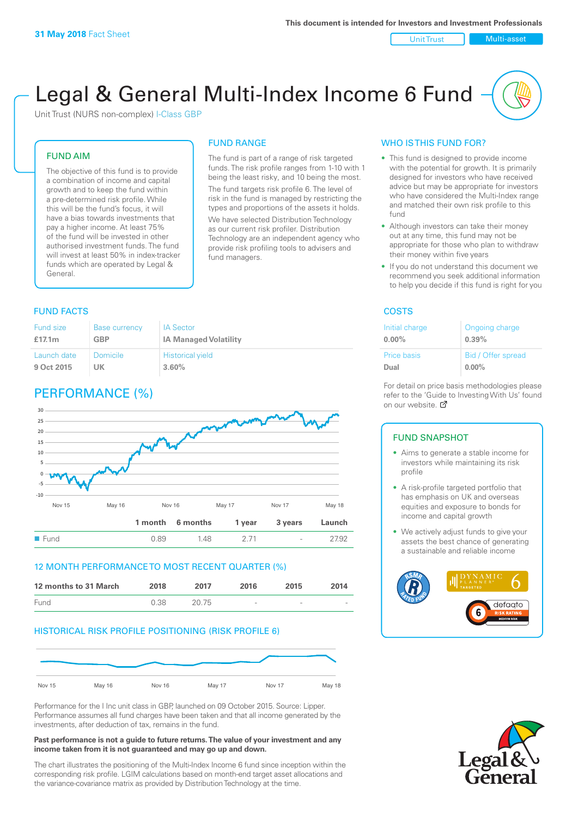Unit Trust Nulti-asset

# Legal & General Multi-Index Income 6 Fund

Unit Trust (NURS non-complex) I-Class GBP

# FUND AIM

The objective of this fund is to provide a combination of income and capital growth and to keep the fund within a pre-determined risk profile. While this will be the fund's focus, it will have a bias towards investments that pay a higher income. At least 75% of the fund will be invested in other authorised investment funds. The fund will invest at least 50% in index-tracker funds which are operated by Legal & General.

# FUND RANGE

The fund is part of a range of risk targeted funds. The risk profile ranges from 1-10 with 1 being the least risky, and 10 being the most. The fund targets risk profile 6. The level of risk in the fund is managed by restricting the

types and proportions of the assets it holds. We have selected Distribution Technology as our current risk profiler. Distribution Technology are an independent agency who provide risk profiling tools to advisers and fund managers.

# **FUND FACTS** COSTS

| Fund size   | <b>Base currency</b> | <b>IA Sector</b>             |
|-------------|----------------------|------------------------------|
| £17.1 $m$   | <b>GBP</b>           | <b>IA Managed Volatility</b> |
| Launch date | Domicile             | <b>Historical yield</b>      |
| 9 Oct 2015  | UK                   | 3.60%                        |

# PERFORMANCE (%)



## 12 MONTH PERFORMANCE TO MOST RECENT QUARTER (%)

| 12 months to 31 March | 2018 | 2017  | 2016            | 2015   | 2014   |
|-----------------------|------|-------|-----------------|--------|--------|
| Fund                  | 0.38 | 20.75 | $\qquad \qquad$ | $\sim$ | $\sim$ |

# HISTORICAL RISK PROFILE POSITIONING (RISK PROFILE 6)



Performance for the I Inc unit class in GBP, launched on 09 October 2015. Source: Lipper. Performance assumes all fund charges have been taken and that all income generated by the investments, after deduction of tax, remains in the fund.

#### **Past performance is not a guide to future returns. The value of your investment and any income taken from it is not guaranteed and may go up and down.**

The chart illustrates the positioning of the Multi-Index Income 6 fund since inception within the corresponding risk profile. LGIM calculations based on month-end target asset allocations and the variance-covariance matrix as provided by Distribution Technology at the time.

# WHO IS THIS FUND FOR?

- This fund is designed to provide income with the potential for growth. It is primarily designed for investors who have received advice but may be appropriate for investors who have considered the Multi-Index range and matched their own risk profile to this fund
- Although investors can take their money out at any time, this fund may not be appropriate for those who plan to withdraw their money within five years
- If you do not understand this document we recommend you seek additional information to help you decide if this fund is right for you

| Initial charge | Ongoing charge     |
|----------------|--------------------|
| $0.00\%$       | 0.39%              |
| Price basis    | Bid / Offer spread |
| Dual           | $0.00\%$           |

For detail on price basis methodologies please refer to the 'Guide to Investing With Us' found on our website. Ø

# FUND SNAPSHOT

- Aims to generate a stable income for investors while maintaining its risk profile
- A risk-profile targeted portfolio that has emphasis on UK and overseas equities and exposure to bonds for income and capital growth
- We actively adjust funds to give your assets the best chance of generating a sustainable and reliable income



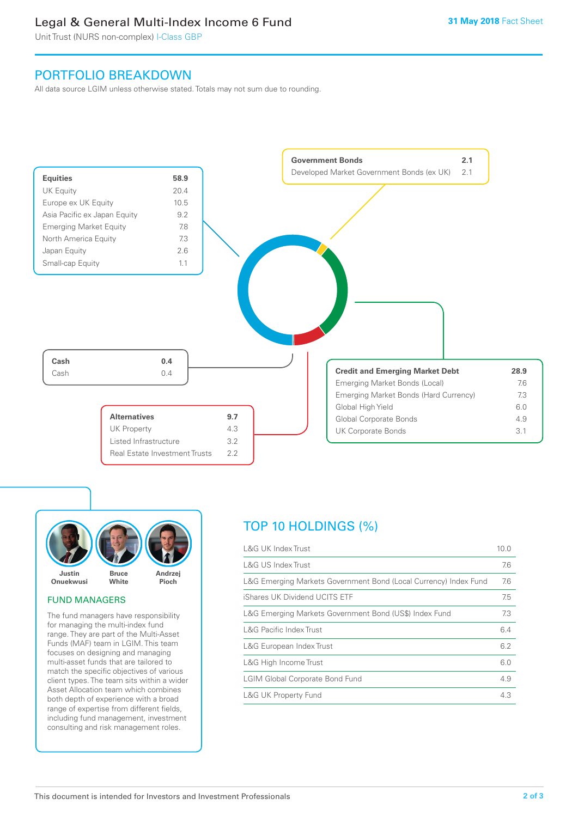# Legal & General Multi-Index Income 6 Fund

Unit Trust (NURS non-complex) I-Class GBP

# PORTFOLIO BREAKDOWN

All data source LGIM unless otherwise stated. Totals may not sum due to rounding.





#### FUND MANAGERS

The fund managers have responsibility for managing the multi-index fund range. They are part of the Multi-Asset Funds (MAF) team in LGIM. This team focuses on designing and managing multi-asset funds that are tailored to match the specific objectives of various client types. The team sits within a wider Asset Allocation team which combines both depth of experience with a broad range of expertise from different fields, including fund management, investment consulting and risk management roles.

# TOP 10 HOLDINGS (%)

| <b>L&amp;G UK Index Trust</b>                                    | 10.0 |
|------------------------------------------------------------------|------|
| <b>L&amp;G US Index Trust</b>                                    | 7.6  |
| L&G Emerging Markets Government Bond (Local Currency) Index Fund | 7.6  |
| iShares UK Dividend UCITS ETF                                    | 7.5  |
| L&G Emerging Markets Government Bond (US\$) Index Fund           | 7.3  |
| <b>L&amp;G Pacific Index Trust</b>                               | 6.4  |
| L&G European Index Trust                                         | 6.2  |
| L&G High Income Trust                                            | 6.0  |
| <b>LGIM Global Corporate Bond Fund</b>                           | 4.9  |
| <b>L&amp;G UK Property Fund</b>                                  | 4.3  |